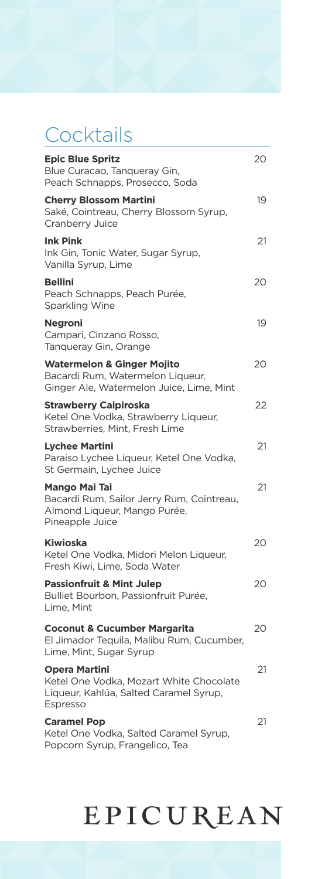### Cocktails

| <b>Epic Blue Spritz</b><br>Blue Curacao, Tanqueray Gin,<br>Peach Schnapps, Prosecco, Soda                             | 20 |
|-----------------------------------------------------------------------------------------------------------------------|----|
| <b>Cherry Blossom Martini</b><br>Saké, Cointreau, Cherry Blossom Syrup,<br>Cranberry Juice                            | 19 |
| <b>Ink Pink</b><br>Ink Gin, Tonic Water, Sugar Syrup,<br>Vanilla Syrup, Lime                                          | 21 |
| <b>Bellini</b><br>Peach Schnapps, Peach Purée,<br>Sparkling Wine                                                      | 20 |
| <b>Negroni</b><br>Campari, Cinzano Rosso,<br>Tanqueray Gin, Orange                                                    | 19 |
| <b>Watermelon &amp; Ginger Mojito</b><br>Bacardi Rum, Watermelon Liqueur,<br>Ginger Ale, Watermelon Juice, Lime, Mint | 20 |
| <b>Strawberry Caipiroska</b><br>Ketel One Vodka, Strawberry Liqueur,<br>Strawberries, Mint, Fresh Lime                | 22 |
| <b>Lychee Martini</b><br>Paraiso Lychee Liqueur, Ketel One Vodka,<br>St Germain, Lychee Juice                         | 21 |
| <b>Mango Mai Tai</b><br>Bacardi Rum, Sailor Jerry Rum, Cointreau,<br>Almond Liqueur, Mango Purée,<br>Pineapple Juice  | 21 |
| Kiwioska<br>Ketel One Vodka, Midori Melon Liqueur,<br>Fresh Kiwi, Lime, Soda Water                                    | 20 |
| <b>Passionfruit &amp; Mint Julep</b><br>Bulliet Bourbon, Passionfruit Purée,<br>Lime, Mint                            | 20 |
| <b>Coconut &amp; Cucumber Margarita</b><br>El Jimador Tequila, Malibu Rum, Cucumber,<br>Lime, Mint, Sugar Syrup       | 20 |
| <b>Opera Martini</b><br>Ketel One Vodka, Mozart White Chocolate<br>Liqueur, Kahlúa, Salted Caramel Syrup,<br>Espresso | 21 |
| <b>Caramel Pop</b><br>Ketel One Vodka, Salted Caramel Syrup,<br>Popcorn Syrup, Frangelico, Tea                        | 21 |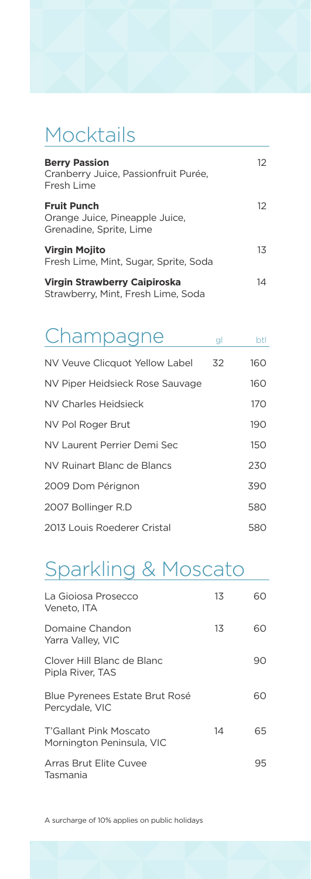### Mocktails

| <b>Berry Passion</b><br>Cranberry Juice, Passionfruit Purée,<br>Fresh Lime      | 12 |
|---------------------------------------------------------------------------------|----|
| <b>Fruit Punch</b><br>Orange Juice, Pineapple Juice,<br>Grenadine, Sprite, Lime | 12 |
| <b>Virgin Mojito</b><br>Fresh Lime, Mint, Sugar, Sprite, Soda                   | 13 |
| <b>Virgin Strawberry Caipiroska</b><br>Strawberry, Mint, Fresh Lime, Soda       | 14 |

| Champagne                       | gl | btl |
|---------------------------------|----|-----|
| NV Veuve Clicquot Yellow Label  | 32 | 160 |
| NV Piper Heidsieck Rose Sauvage |    | 160 |
| NV Charles Heidsieck            |    | 170 |
| NV Pol Roger Brut               |    | 190 |
| NV Laurent Perrier Demi Sec     |    | 150 |
| NV Ruinart Blanc de Blancs      |    | 230 |
| 2009 Dom Pérignon               |    | 390 |
| 2007 Bollinger R.D              |    | 580 |
| 2013 Louis Roederer Cristal     |    | 580 |

### Sparkling & Moscato

| La Gioiosa Prosecco<br>Veneto. ITA                      | 13 | 60 |
|---------------------------------------------------------|----|----|
| Domaine Chandon<br>Yarra Valley, VIC                    | 13 | റെ |
| Clover Hill Blanc de Blanc<br>Pipla River, TAS          |    | 90 |
| <b>Blue Pyrenees Estate Brut Rosé</b><br>Percydale, VIC |    | ഹ  |
| T'Gallant Pink Moscato<br>Mornington Peninsula, VIC     | 14 | 65 |
| Arras Brut Elite Cuvee<br>Tasmania                      |    | 95 |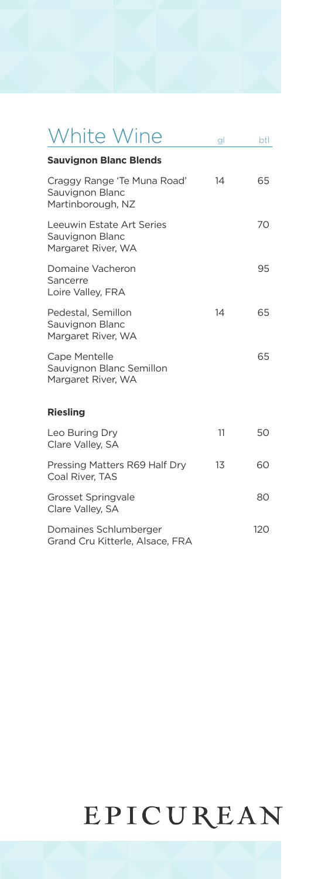## White Wine gl btl

| <b>Sauvignon Blanc Blends</b>                                       |    |     |
|---------------------------------------------------------------------|----|-----|
| Craggy Range 'Te Muna Road'<br>Sauvignon Blanc<br>Martinborough, NZ | 14 | 65  |
| Leeuwin Estate Art Series<br>Sauvignon Blanc<br>Margaret River, WA  |    | 70  |
| Domaine Vacheron<br>Sancerre<br>Loire Valley, FRA                   |    | 95  |
| Pedestal, Semillon<br>Sauvignon Blanc<br>Margaret River, WA         | 14 | 65  |
| Cape Mentelle<br>Sauvignon Blanc Semillon<br>Margaret River, WA     |    | 65  |
| <b>Riesling</b>                                                     |    |     |
| Leo Buring Dry<br>Clare Valley, SA                                  | 11 | 50  |
| Pressing Matters R69 Half Dry<br>Coal River, TAS                    | 13 | 60  |
| <b>Grosset Springvale</b><br>Clare Valley, SA                       |    | 80  |
| Domaines Schlumberger<br>Grand Cru Kitterle, Alsace, FRA            |    | 120 |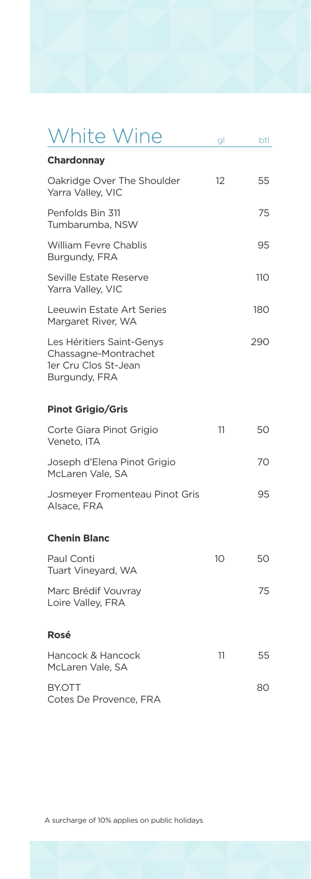## White Wine gl btl

| Chardonnay                                                                                 |                   |     |
|--------------------------------------------------------------------------------------------|-------------------|-----|
| Oakridge Over The Shoulder<br>Yarra Valley, VIC                                            | $12 \overline{ }$ | 55  |
| Penfolds Bin 311<br>Tumbarumba, NSW                                                        |                   | 75  |
| William Fevre Chablis<br>Burgundy, FRA                                                     |                   | 95  |
| Seville Estate Reserve<br>Yarra Valley, VIC                                                |                   | 11O |
| Leeuwin Estate Art Series<br>Margaret River, WA                                            |                   | 180 |
| Les Héritiers Saint-Genys<br>Chassagne-Montrachet<br>1er Cru Clos St-Jean<br>Burgundy, FRA |                   | 290 |
| <b>Pinot Grigio/Gris</b>                                                                   |                   |     |
| Corte Giara Pinot Grigio<br>Veneto, ITA                                                    | 11                | 50  |
| Joseph d'Elena Pinot Grigio<br>McLaren Vale, SA                                            |                   | 70  |
| Josmeyer Fromenteau Pinot Gris<br>Alsace, FRA                                              |                   | 95  |
| <b>Chenin Blanc</b>                                                                        |                   |     |
| Paul Conti<br>Tuart Vineyard, WA                                                           | 10                | 50  |
| Marc Brédif Vouvray<br>Loire Valley, FRA                                                   |                   | 75  |
| Rosé                                                                                       |                   |     |
| Hancock & Hancock<br>McLaren Vale, SA                                                      | 11                | 55  |
| BY.OTT<br>Cotes De Provence, FRA                                                           |                   | 80  |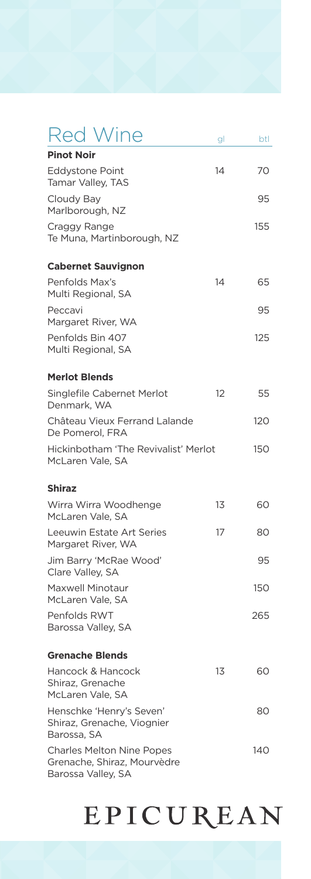| <b>Red Wine</b>                                                                       | gl | btl |
|---------------------------------------------------------------------------------------|----|-----|
| <b>Pinot Noir</b>                                                                     |    |     |
| <b>Eddystone Point</b><br>Tamar Valley, TAS                                           | 14 | 70  |
| Cloudy Bay<br>Marlborough, NZ                                                         |    | 95  |
| Craggy Range<br>Te Muna, Martinborough, NZ                                            |    | 155 |
| <b>Cabernet Sauvignon</b>                                                             |    |     |
| Penfolds Max's<br>Multi Regional, SA                                                  | 14 | 65  |
| Peccavi<br>Margaret River, WA                                                         |    | 95  |
| Penfolds Bin 407<br>Multi Regional, SA                                                |    | 125 |
| <b>Merlot Blends</b>                                                                  |    |     |
| Singlefile Cabernet Merlot<br>Denmark, WA                                             | 12 | 55  |
| Château Vieux Ferrand Lalande<br>De Pomerol, FRA                                      |    | 120 |
| Hickinbotham 'The Revivalist' Merlot<br>McLaren Vale, SA                              |    | 150 |
| Shiraz                                                                                |    |     |
| Wirra Wirra Woodhenge<br>McLaren Vale, SA                                             | 13 | 60  |
| Leeuwin Estate Art Series<br>Margaret River, WA                                       | 17 | 80  |
| Jim Barry 'McRae Wood'<br>Clare Valley, SA                                            |    | 95  |
| Maxwell Minotaur<br>McLaren Vale, SA                                                  |    | 150 |
| Penfolds RWT<br>Barossa Valley, SA                                                    |    | 265 |
| <b>Grenache Blends</b>                                                                |    |     |
| Hancock & Hancock<br>Shiraz, Grenache<br>McLaren Vale, SA                             | 13 | 60  |
| Henschke 'Henry's Seven'<br>Shiraz, Grenache, Viognier<br>Barossa, SA                 |    | 80  |
| <b>Charles Melton Nine Popes</b><br>Grenache, Shiraz, Mourvèdre<br>Barossa Valley, SA |    | 140 |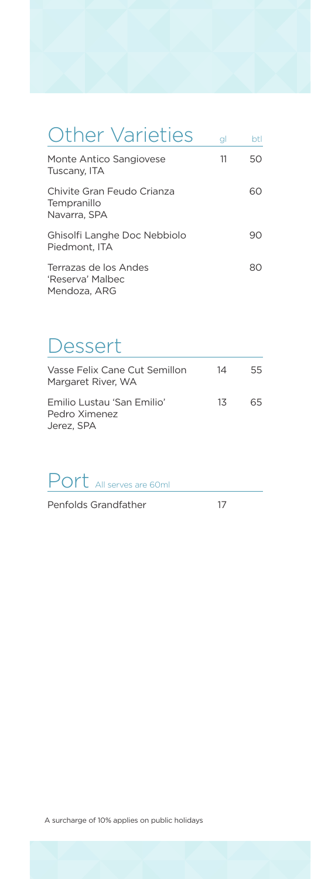| <b>Other Varieties</b>                                    | gl | btl |
|-----------------------------------------------------------|----|-----|
| Monte Antico Sangiovese<br>Tuscany, ITA                   | 11 | 50  |
| Chivite Gran Feudo Crianza<br>Tempranillo<br>Navarra. SPA |    | 60  |
| Ghisolfi Langhe Doc Nebbiolo<br>Piedmont. ITA             |    | 9C  |
| Terrazas de los Andes<br>'Reserva' Malbec<br>Mendoza, ARG |    |     |

### Dessert

| Vasse Felix Cane Cut Semillon<br>Margaret River. WA       | 14 | 55 |
|-----------------------------------------------------------|----|----|
| Emilio Lustau 'San Emilio'<br>Pedro Ximenez<br>Jerez, SPA | 13 | 65 |

Port All serves are 60ml

Penfolds Grandfather 17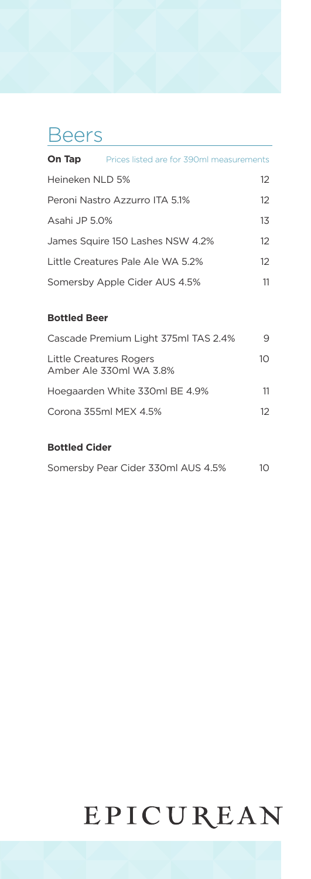#### **Beers**

| On Tap          | Prices listed are for 390ml measurements |          |
|-----------------|------------------------------------------|----------|
| Heineken NLD 5% |                                          | 12       |
|                 | Peroni Nastro Azzurro ITA 5.1%           | $12^{1}$ |
| Asahi JP 5.0%   |                                          | 13       |
|                 | James Squire 150 Lashes NSW 4.2%         | $12^{1}$ |
|                 | Little Creatures Pale Ale WA 5.2%        | $12^{1}$ |
|                 | Somersby Apple Cider AUS 4.5%            | 11       |

#### **Bottled Beer**

| Cascade Premium Light 375ml TAS 2.4%               | 9  |
|----------------------------------------------------|----|
| Little Creatures Rogers<br>Amber Ale 330ml WA 3.8% | 10 |
| Hoegaarden White 330ml BE 4.9%                     | 11 |
| Corona 355ml MEX 4.5%                              | 12 |
|                                                    |    |

#### **Bottled Cider**

|  |  | Somersby Pear Cider 330ml AUS 4.5% | 10 |
|--|--|------------------------------------|----|
|  |  |                                    |    |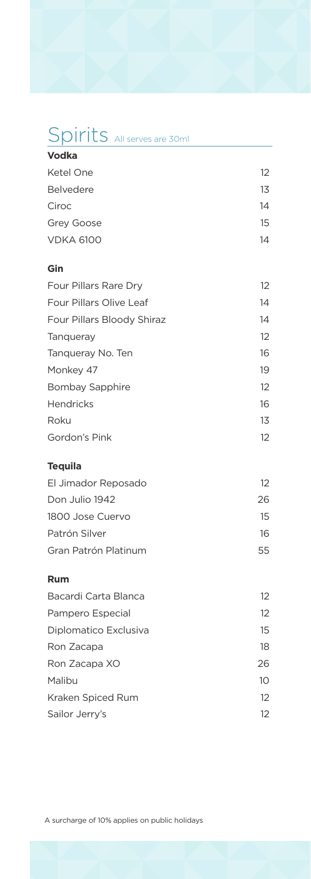### Spirits All serves are 30ml

| 12 |
|----|
| 13 |
| 14 |
| 15 |
| 14 |
|    |

#### **Gin**

| Four Pillars Rare Dry      | $12 \overline{ }$ |
|----------------------------|-------------------|
| Four Pillars Olive Leaf    | 14                |
| Four Pillars Bloody Shiraz | 14                |
| Tangueray                  | 12                |
| Tanqueray No. Ten          | 16                |
| Monkey 47                  | 19                |
| Bombay Sapphire            | 12                |
| <b>Hendricks</b>           | 16                |
| Roku                       | 13                |
| Gordon's Pink              | $12^{1}$          |

#### **Tequila**

| El Jimador Reposado  | 12  |
|----------------------|-----|
| Don Julio 1942       | 26. |
| 1800 Jose Cuervo     | 15  |
| Patrón Silver        | 16  |
| Gran Patrón Platinum | 55  |

#### **Rum**

| Bacardi Carta Blanca  | 12       |
|-----------------------|----------|
| Pampero Especial      | 12       |
| Diplomatico Exclusiva | 15       |
| Ron Zacapa            | 18       |
| Ron Zacapa XO         | 26       |
| Malibu                | 10       |
| Kraken Spiced Rum     | $12^{1}$ |
| Sailor Jerry's        | 12       |
|                       |          |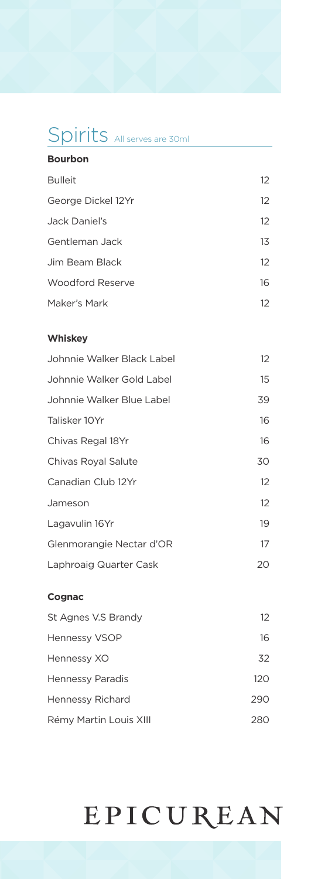### Spirits All serves are 30ml

| <b>Bourbon</b>     |                   |
|--------------------|-------------------|
| <b>Bulleit</b>     | 12                |
| George Dickel 12Yr | $12 \overline{ }$ |
| Jack Daniel's      | 12                |
| Gentleman Jack     | 13                |
| Jim Beam Black     | 12                |
| Woodford Reserve   | 16                |
| Maker's Mark       | 12 <sup>°</sup>   |

#### **Whiskey**

| Johnnie Walker Black Label | 12 |
|----------------------------|----|
| Johnnie Walker Gold Label  | 15 |
| Johnnie Walker Blue Label  | 39 |
| Talisker 10Yr              | 16 |
| Chivas Regal 18Yr          | 16 |
| Chivas Royal Salute        | 30 |
| Canadian Club 12Yr         | 12 |
| Jameson                    | 12 |
| Lagavulin 16Yr             | 19 |
| Glenmorangie Nectar d'OR   | 17 |
| Laphroaig Quarter Cask     | 20 |
|                            |    |

#### **Cognac**

| St Agnes V.S Brandy    | 12  |
|------------------------|-----|
| Hennessy VSOP          | 16  |
| Hennessy XO            | 32  |
| Hennessy Paradis       | 120 |
| Hennessy Richard       | 290 |
| Rémy Martin Louis XIII | 280 |
|                        |     |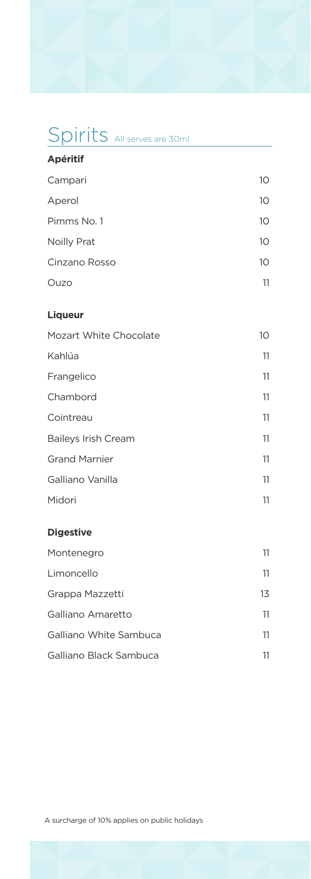### Spirits All serves are 30ml

| <b>Apéritif</b>            |    |
|----------------------------|----|
| Campari                    | 10 |
| Aperol                     | 10 |
| Pimms No. 1                | 10 |
| Noilly Prat                | 10 |
| Cinzano Rosso              | 10 |
| Ouzo                       | 11 |
| <b>Liqueur</b>             |    |
| Mozart White Chocolate     | 10 |
| Kahlúa                     | 11 |
| Frangelico                 | 11 |
| Chambord                   | 11 |
| Cointreau                  | 11 |
| <b>Baileys Irish Cream</b> | 11 |
| <b>Grand Marnier</b>       | 11 |
| Galliano Vanilla           | 11 |
| Midori                     | 11 |
|                            |    |

#### **Digestive**

| Montenegro             | 11 |
|------------------------|----|
| Limoncello             | 11 |
| Grappa Mazzetti        | 13 |
| Galliano Amaretto      | 11 |
| Galliano White Sambuca | 11 |
| Galliano Black Sambuca |    |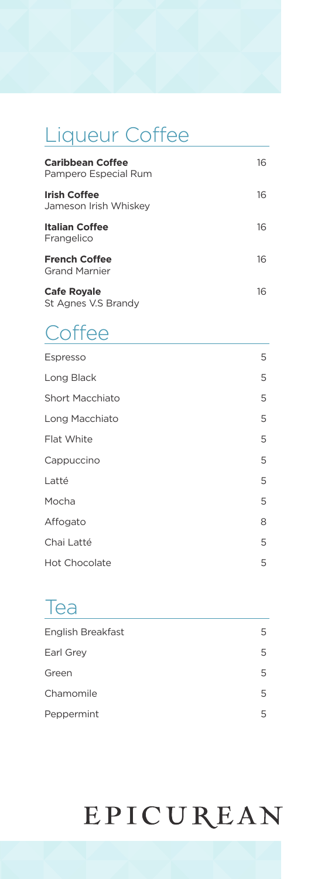### Liqueur Coffee

| <b>Caribbean Coffee</b><br>Pampero Especial Rum | 16 |
|-------------------------------------------------|----|
| <b>Irish Coffee</b><br>Jameson Irish Whiskey    | 16 |
| Italian Coffee<br>Frangelico                    | 16 |
| <b>French Coffee</b><br><b>Grand Marnier</b>    | 16 |
| <b>Cafe Royale</b><br>St Agnes V.S Brandy       | 16 |

### **Coffee**

| 5 |
|---|
| 5 |
| 5 |
| 5 |
| 5 |
| 5 |
| 5 |
| 5 |
| 8 |
| 5 |
| 5 |
|   |

#### Tea

| English Breakfast | 5 |
|-------------------|---|
| Earl Grey         | 5 |
| Green             | 5 |
| Chamomile         | 5 |
| Peppermint        | 5 |
|                   |   |